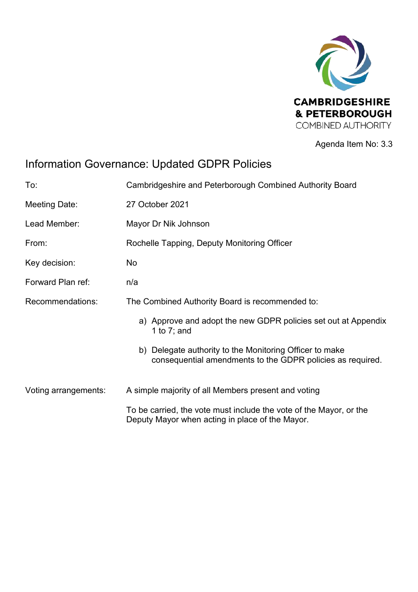

Agenda Item No: 3.3

# Information Governance: Updated GDPR Policies

| To:                  | Cambridgeshire and Peterborough Combined Authority Board                                                              |  |
|----------------------|-----------------------------------------------------------------------------------------------------------------------|--|
| Meeting Date:        | 27 October 2021                                                                                                       |  |
| Lead Member:         | Mayor Dr Nik Johnson                                                                                                  |  |
| From:                | Rochelle Tapping, Deputy Monitoring Officer                                                                           |  |
| Key decision:        | No                                                                                                                    |  |
| Forward Plan ref:    | n/a                                                                                                                   |  |
| Recommendations:     | The Combined Authority Board is recommended to:                                                                       |  |
|                      | a) Approve and adopt the new GDPR policies set out at Appendix<br>1 to $7$ ; and                                      |  |
|                      | b) Delegate authority to the Monitoring Officer to make<br>consequential amendments to the GDPR policies as required. |  |
| Voting arrangements: | A simple majority of all Members present and voting                                                                   |  |
|                      | To be carried, the vote must include the vote of the Mayor, or the<br>Deputy Mayor when acting in place of the Mayor. |  |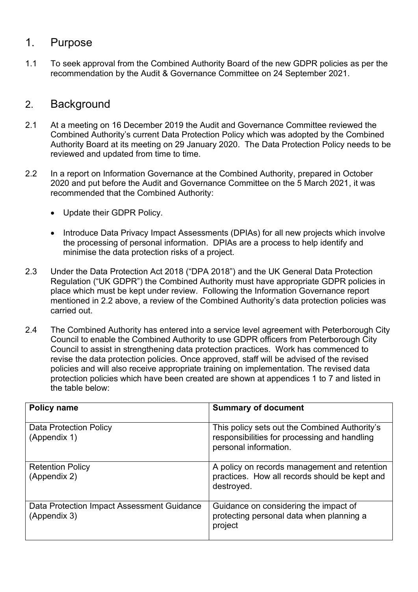### 1. Purpose

1.1 To seek approval from the Combined Authority Board of the new GDPR policies as per the recommendation by the Audit & Governance Committee on 24 September 2021.

### 2. Background

- 2.1 At a meeting on 16 December 2019 the Audit and Governance Committee reviewed the Combined Authority's current Data Protection Policy which was adopted by the Combined Authority Board at its meeting on 29 January 2020. The Data Protection Policy needs to be reviewed and updated from time to time.
- 2.2 In a report on Information Governance at the Combined Authority, prepared in October 2020 and put before the Audit and Governance Committee on the 5 March 2021, it was recommended that the Combined Authority:
	- Update their GDPR Policy.
	- Introduce Data Privacy Impact Assessments (DPIAs) for all new projects which involve the processing of personal information. DPIAs are a process to help identify and minimise the data protection risks of a project.
- 2.3 Under the Data Protection Act 2018 ("DPA 2018") and the UK General Data Protection Regulation ("UK GDPR") the Combined Authority must have appropriate GDPR policies in place which must be kept under review. Following the Information Governance report mentioned in 2.2 above, a review of the Combined Authority's data protection policies was carried out.
- 2.4 The Combined Authority has entered into a service level agreement with Peterborough City Council to enable the Combined Authority to use GDPR officers from Peterborough City Council to assist in strengthening data protection practices. Work has commenced to revise the data protection policies. Once approved, staff will be advised of the revised policies and will also receive appropriate training on implementation. The revised data protection policies which have been created are shown at appendices 1 to 7 and listed in the table below:

| <b>Policy name</b>                                         | <b>Summary of document</b>                                                                                             |
|------------------------------------------------------------|------------------------------------------------------------------------------------------------------------------------|
| Data Protection Policy<br>(Appendix 1)                     | This policy sets out the Combined Authority's<br>responsibilities for processing and handling<br>personal information. |
| <b>Retention Policy</b><br>(Appendix 2)                    | A policy on records management and retention<br>practices. How all records should be kept and<br>destroyed.            |
| Data Protection Impact Assessment Guidance<br>(Appendix 3) | Guidance on considering the impact of<br>protecting personal data when planning a<br>project                           |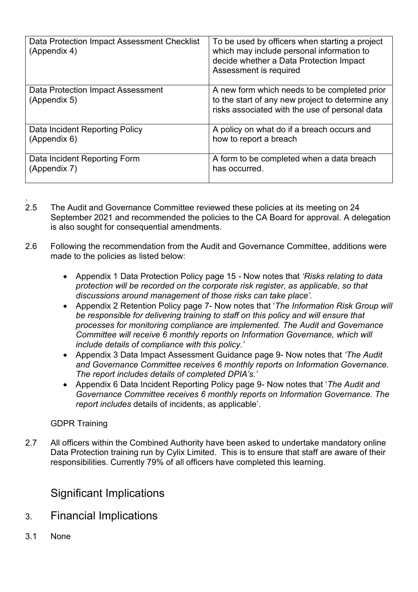| Data Protection Impact Assessment Checklist<br>(Appendix 4) | To be used by officers when starting a project<br>which may include personal information to<br>decide whether a Data Protection Impact<br>Assessment is required |
|-------------------------------------------------------------|------------------------------------------------------------------------------------------------------------------------------------------------------------------|
| Data Protection Impact Assessment<br>(Appendix 5)           | A new form which needs to be completed prior<br>to the start of any new project to determine any<br>risks associated with the use of personal data               |
| Data Incident Reporting Policy                              | A policy on what do if a breach occurs and                                                                                                                       |
| (Appendix 6)                                                | how to report a breach                                                                                                                                           |
| Data Incident Reporting Form                                | A form to be completed when a data breach                                                                                                                        |
| (Appendix 7)                                                | has occurred.                                                                                                                                                    |

- . 2.5 The Audit and Governance Committee reviewed these policies at its meeting on 24 September 2021 and recommended the policies to the CA Board for approval. A delegation is also sought for consequential amendments.
- 2.6 Following the recommendation from the Audit and Governance Committee, additions were made to the policies as listed below:
	- Appendix 1 Data Protection Policy page 15 Now notes that *'Risks relating to data protection will be recorded on the corporate risk register, as applicable, so that discussions around management of those risks can take place'.*
	- Appendix 2 Retention Policy page 7- Now notes that '*The Information Risk Group will be responsible for delivering training to staff on this policy and will ensure that processes for monitoring compliance are implemented. The Audit and Governance Committee will receive 6 monthly reports on Information Governance, which will include details of compliance with this policy.'*
	- Appendix 3 Data Impact Assessment Guidance page 9- Now notes that *'The Audit and Governance Committee receives 6 monthly reports on Information Governance. The report includes details of completed DPIA's.'*
	- Appendix 6 Data Incident Reporting Policy page 9- Now notes that '*The Audit and Governance Committee receives 6 monthly reports on Information Governance. The report includes* details of incidents, as applicable'.

#### GDPR Training

2.7 All officers within the Combined Authority have been asked to undertake mandatory online Data Protection training run by Cylix Limited. This is to ensure that staff are aware of their responsibilities. Currently 79% of all officers have completed this learning.

# Significant Implications

- 3. Financial Implications
- 3.1 None